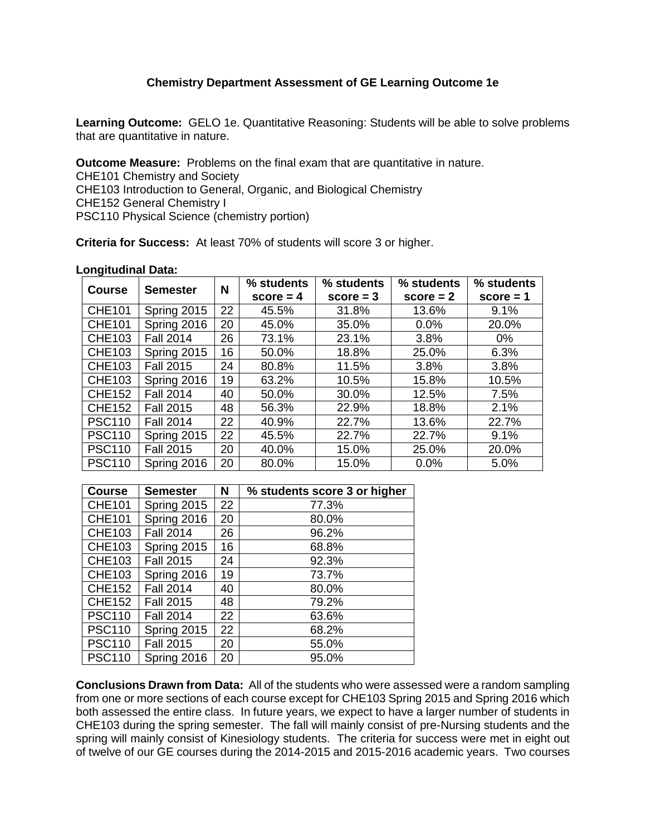## **Chemistry Department Assessment of GE Learning Outcome 1e**

**Learning Outcome:** GELO 1e. Quantitative Reasoning: Students will be able to solve problems that are quantitative in nature.

**Outcome Measure:** Problems on the final exam that are quantitative in nature. CHE101 Chemistry and Society CHE103 Introduction to General, Organic, and Biological Chemistry CHE152 General Chemistry I PSC110 Physical Science (chemistry portion)

**Criteria for Success:** At least 70% of students will score 3 or higher.

## **Longitudinal Data:**

| <b>Course</b> | <b>Semester</b>  | N  | % students  | % students  | % students  | % students  |
|---------------|------------------|----|-------------|-------------|-------------|-------------|
|               |                  |    | $score = 4$ | $score = 3$ | $score = 2$ | $score = 1$ |
| <b>CHE101</b> | Spring 2015      | 22 | 45.5%       | 31.8%       | 13.6%       | 9.1%        |
| <b>CHE101</b> | Spring 2016      | 20 | 45.0%       | 35.0%       | 0.0%        | 20.0%       |
| <b>CHE103</b> | <b>Fall 2014</b> | 26 | 73.1%       | 23.1%       | 3.8%        | $0\%$       |
| <b>CHE103</b> | Spring 2015      | 16 | 50.0%       | 18.8%       | 25.0%       | 6.3%        |
| <b>CHE103</b> | <b>Fall 2015</b> | 24 | 80.8%       | 11.5%       | 3.8%        | 3.8%        |
| <b>CHE103</b> | Spring 2016      | 19 | 63.2%       | 10.5%       | 15.8%       | 10.5%       |
| <b>CHE152</b> | <b>Fall 2014</b> | 40 | 50.0%       | 30.0%       | 12.5%       | 7.5%        |
| <b>CHE152</b> | <b>Fall 2015</b> | 48 | 56.3%       | 22.9%       | 18.8%       | 2.1%        |
| <b>PSC110</b> | <b>Fall 2014</b> | 22 | 40.9%       | 22.7%       | 13.6%       | 22.7%       |
| <b>PSC110</b> | Spring 2015      | 22 | 45.5%       | 22.7%       | 22.7%       | 9.1%        |
| <b>PSC110</b> | <b>Fall 2015</b> | 20 | 40.0%       | 15.0%       | 25.0%       | 20.0%       |
| <b>PSC110</b> | Spring 2016      | 20 | 80.0%       | 15.0%       | 0.0%        | 5.0%        |

| <b>Course</b> | <b>Semester</b>  | N  | % students score 3 or higher |
|---------------|------------------|----|------------------------------|
| <b>CHE101</b> | Spring 2015      | 22 | 77.3%                        |
| <b>CHE101</b> | Spring 2016      | 20 | 80.0%                        |
| <b>CHE103</b> | <b>Fall 2014</b> | 26 | 96.2%                        |
| <b>CHE103</b> | Spring 2015      | 16 | 68.8%                        |
| <b>CHE103</b> | <b>Fall 2015</b> | 24 | 92.3%                        |
| <b>CHE103</b> | Spring 2016      | 19 | 73.7%                        |
| <b>CHE152</b> | <b>Fall 2014</b> | 40 | 80.0%                        |
| <b>CHE152</b> | <b>Fall 2015</b> | 48 | 79.2%                        |
| <b>PSC110</b> | <b>Fall 2014</b> | 22 | 63.6%                        |
| <b>PSC110</b> | Spring 2015      | 22 | 68.2%                        |
| <b>PSC110</b> | <b>Fall 2015</b> | 20 | 55.0%                        |
| <b>PSC110</b> | Spring 2016      | 20 | 95.0%                        |

**Conclusions Drawn from Data:** All of the students who were assessed were a random sampling from one or more sections of each course except for CHE103 Spring 2015 and Spring 2016 which both assessed the entire class. In future years, we expect to have a larger number of students in CHE103 during the spring semester. The fall will mainly consist of pre-Nursing students and the spring will mainly consist of Kinesiology students. The criteria for success were met in eight out of twelve of our GE courses during the 2014-2015 and 2015-2016 academic years. Two courses